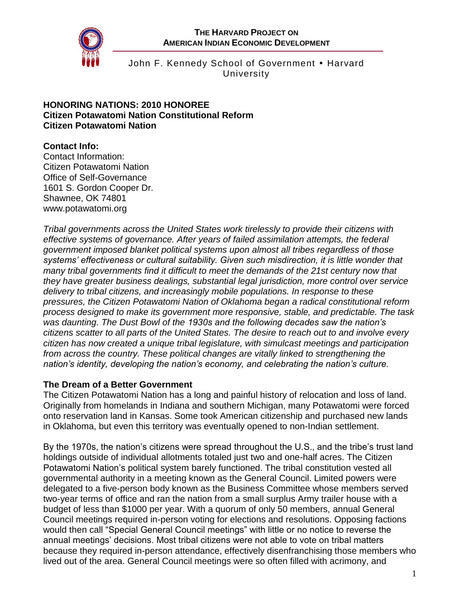

John F. Kennedy School of Government • Harvard University

#### **HONORING NATIONS: 2010 HONOREE Citizen Potawatomi Nation Constitutional Reform Citizen Potawatomi Nation**

## **Contact Info:**

Contact Information: Citizen Potawatomi Nation Office of Self-Governance 1601 S. Gordon Cooper Dr. Shawnee, OK 74801 [www.potawatomi.org](http://www.potawatomi.org/)

*Tribal governments across the United States work tirelessly to provide their citizens with effective systems of governance. After years of failed assimilation attempts, the federal government imposed blanket political systems upon almost all tribes regardless of those systems' effectiveness or cultural suitability. Given such misdirection, it is little wonder that many tribal governments find it difficult to meet the demands of the 21st century now that they have greater business dealings, substantial legal jurisdiction, more control over service delivery to tribal citizens, and increasingly mobile populations. In response to these pressures, the Citizen Potawatomi Nation of Oklahoma began a radical constitutional reform process designed to make its government more responsive, stable, and predictable. The task was daunting. The Dust Bowl of the 1930s and the following decades saw the nation's citizens scatter to all parts of the United States. The desire to reach out to and involve every citizen has now created a unique tribal legislature, with simulcast meetings and participation from across the country. These political changes are vitally linked to strengthening the nation's identity, developing the nation's economy, and celebrating the nation's culture.*

#### **The Dream of a Better Government**

The Citizen Potawatomi Nation has a long and painful history of relocation and loss of land. Originally from homelands in Indiana and southern Michigan, many Potawatomi were forced onto reservation land in Kansas. Some took American citizenship and purchased new lands in Oklahoma, but even this territory was eventually opened to non-Indian settlement.

By the 1970s, the nation's citizens were spread throughout the U.S., and the tribe's trust land holdings outside of individual allotments totaled just two and one-half acres. The Citizen Potawatomi Nation's political system barely functioned. The tribal constitution vested all governmental authority in a meeting known as the General Council. Limited powers were delegated to a five-person body known as the Business Committee whose members served two-year terms of office and ran the nation from a small surplus Army trailer house with a budget of less than \$1000 per year. With a quorum of only 50 members, annual General Council meetings required in-person voting for elections and resolutions. Opposing factions would then call "Special General Council meetings" with little or no notice to reverse the annual meetings' decisions. Most tribal citizens were not able to vote on tribal matters because they required in-person attendance, effectively disenfranchising those members who lived out of the area. General Council meetings were so often filled with acrimony, and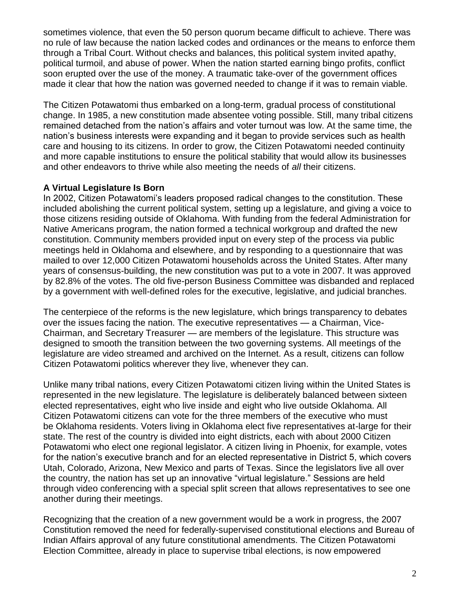sometimes violence, that even the 50 person quorum became difficult to achieve. There was no rule of law because the nation lacked codes and ordinances or the means to enforce them through a Tribal Court. Without checks and balances, this political system invited apathy, political turmoil, and abuse of power. When the nation started earning bingo profits, conflict soon erupted over the use of the money. A traumatic take-over of the government offices made it clear that how the nation was governed needed to change if it was to remain viable.

The Citizen Potawatomi thus embarked on a long-term, gradual process of constitutional change. In 1985, a new constitution made absentee voting possible. Still, many tribal citizens remained detached from the nation's affairs and voter turnout was low. At the same time, the nation's business interests were expanding and it began to provide services such as health care and housing to its citizens. In order to grow, the Citizen Potawatomi needed continuity and more capable institutions to ensure the political stability that would allow its businesses and other endeavors to thrive while also meeting the needs of *all* their citizens.

## **A Virtual Legislature Is Born**

In 2002, Citizen Potawatomi's leaders proposed radical changes to the constitution. These included abolishing the current political system, setting up a legislature, and giving a voice to those citizens residing outside of Oklahoma. With funding from the federal Administration for Native Americans program, the nation formed a technical workgroup and drafted the new constitution. Community members provided input on every step of the process via public meetings held in Oklahoma and elsewhere, and by responding to a questionnaire that was mailed to over 12,000 Citizen Potawatomi households across the United States. After many years of consensus-building, the new constitution was put to a vote in 2007. It was approved by 82.8% of the votes. The old five-person Business Committee was disbanded and replaced by a government with well-defined roles for the executive, legislative, and judicial branches.

The centerpiece of the reforms is the new legislature, which brings transparency to debates over the issues facing the nation. The executive representatives — a Chairman, Vice-Chairman, and Secretary Treasurer — are members of the legislature. This structure was designed to smooth the transition between the two governing systems. All meetings of the legislature are video streamed and archived on the Internet. As a result, citizens can follow Citizen Potawatomi politics wherever they live, whenever they can.

Unlike many tribal nations, every Citizen Potawatomi citizen living within the United States is represented in the new legislature. The legislature is deliberately balanced between sixteen elected representatives, eight who live inside and eight who live outside Oklahoma. All Citizen Potawatomi citizens can vote for the three members of the executive who must be Oklahoma residents. Voters living in Oklahoma elect five representatives at-large for their state. The rest of the country is divided into eight districts, each with about 2000 Citizen Potawatomi who elect one regional legislator. A citizen living in Phoenix, for example, votes for the nation's executive branch and for an elected representative in District 5, which covers Utah, Colorado, Arizona, New Mexico and parts of Texas. Since the legislators live all over the country, the nation has set up an innovative "virtual legislature." Sessions are held through video conferencing with a special split screen that allows representatives to see one another during their meetings.

Recognizing that the creation of a new government would be a work in progress, the 2007 Constitution removed the need for federally-supervised constitutional elections and Bureau of Indian Affairs approval of any future constitutional amendments. The Citizen Potawatomi Election Committee, already in place to supervise tribal elections, is now empowered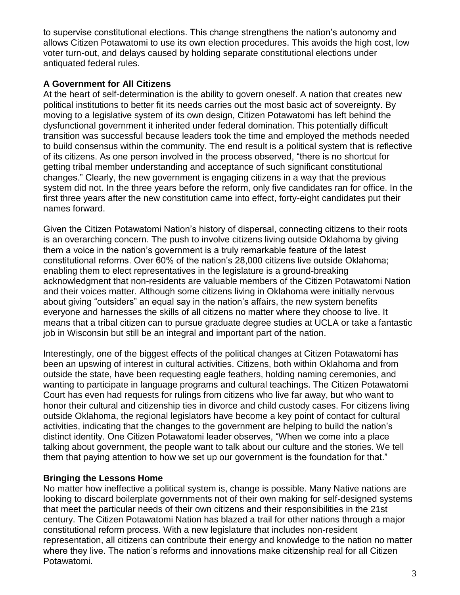to supervise constitutional elections. This change strengthens the nation's autonomy and allows Citizen Potawatomi to use its own election procedures. This avoids the high cost, low voter turn-out, and delays caused by holding separate constitutional elections under antiquated federal rules.

# **A Government for All Citizens**

At the heart of self-determination is the ability to govern oneself. A nation that creates new political institutions to better fit its needs carries out the most basic act of sovereignty. By moving to a legislative system of its own design, Citizen Potawatomi has left behind the dysfunctional government it inherited under federal domination. This potentially difficult transition was successful because leaders took the time and employed the methods needed to build consensus within the community. The end result is a political system that is reflective of its citizens. As one person involved in the process observed, "there is no shortcut for getting tribal member understanding and acceptance of such significant constitutional changes." Clearly, the new government is engaging citizens in a way that the previous system did not. In the three years before the reform, only five candidates ran for office. In the first three years after the new constitution came into effect, forty-eight candidates put their names forward.

Given the Citizen Potawatomi Nation's history of dispersal, connecting citizens to their roots is an overarching concern. The push to involve citizens living outside Oklahoma by giving them a voice in the nation's government is a truly remarkable feature of the latest constitutional reforms. Over 60% of the nation's 28,000 citizens live outside Oklahoma; enabling them to elect representatives in the legislature is a ground-breaking acknowledgment that non-residents are valuable members of the Citizen Potawatomi Nation and their voices matter. Although some citizens living in Oklahoma were initially nervous about giving "outsiders" an equal say in the nation's affairs, the new system benefits everyone and harnesses the skills of all citizens no matter where they choose to live. It means that a tribal citizen can to pursue graduate degree studies at UCLA or take a fantastic job in Wisconsin but still be an integral and important part of the nation.

Interestingly, one of the biggest effects of the political changes at Citizen Potawatomi has been an upswing of interest in cultural activities. Citizens, both within Oklahoma and from outside the state, have been requesting eagle feathers, holding naming ceremonies, and wanting to participate in language programs and cultural teachings. The Citizen Potawatomi Court has even had requests for rulings from citizens who live far away, but who want to honor their cultural and citizenship ties in divorce and child custody cases. For citizens living outside Oklahoma, the regional legislators have become a key point of contact for cultural activities, indicating that the changes to the government are helping to build the nation's distinct identity. One Citizen Potawatomi leader observes, "When we come into a place talking about government, the people want to talk about our culture and the stories. We tell them that paying attention to how we set up our government is the foundation for that."

# **Bringing the Lessons Home**

No matter how ineffective a political system is, change is possible. Many Native nations are looking to discard boilerplate governments not of their own making for self-designed systems that meet the particular needs of their own citizens and their responsibilities in the 21st century. The Citizen Potawatomi Nation has blazed a trail for other nations through a major constitutional reform process. With a new legislature that includes non-resident representation, all citizens can contribute their energy and knowledge to the nation no matter where they live. The nation's reforms and innovations make citizenship real for all Citizen Potawatomi.